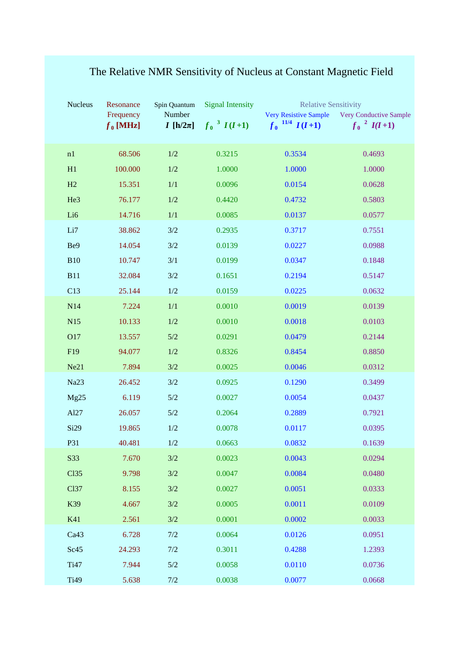| Nucleus          | Resonance                | Spin Quantum             | <b>Signal Intensity</b>     | <b>Relative Sensitivity</b>                                    |                                                              |
|------------------|--------------------------|--------------------------|-----------------------------|----------------------------------------------------------------|--------------------------------------------------------------|
|                  | Frequency<br>$f_0$ [MHz] | Number<br>I [h/2 $\pi$ ] | $f_0$ <sup>3</sup> $I(I+1)$ | <b>Very Resistive Sample</b><br>$f_0$ <sup>11/4</sup> $I(I+1)$ | <b>Very Conductive Sample</b><br>$f_0$ <sup>2</sup> $I(I+1)$ |
|                  |                          |                          |                             |                                                                |                                                              |
| n1               | 68.506                   | $1/2\,$                  | 0.3215                      | 0.3534                                                         | 0.4693                                                       |
| H1               | 100.000                  | $1/2\,$                  | 1.0000                      | 1.0000                                                         | 1.0000                                                       |
| H2               | 15.351                   | 1/1                      | 0.0096                      | 0.0154                                                         | 0.0628                                                       |
| He3              | 76.177                   | $1/2\,$                  | 0.4420                      | 0.4732                                                         | 0.5803                                                       |
| Li6              | 14.716                   | $1/1$                    | 0.0085                      | 0.0137                                                         | 0.0577                                                       |
| Li7              | 38.862                   | 3/2                      | 0.2935                      | 0.3717                                                         | 0.7551                                                       |
| Be9              | 14.054                   | 3/2                      | 0.0139                      | 0.0227                                                         | 0.0988                                                       |
| <b>B10</b>       | 10.747                   | 3/1                      | 0.0199                      | 0.0347                                                         | 0.1848                                                       |
| <b>B11</b>       | 32.084                   | 3/2                      | 0.1651                      | 0.2194                                                         | 0.5147                                                       |
| C13              | 25.144                   | $1/2\,$                  | 0.0159                      | 0.0225                                                         | 0.0632                                                       |
| N14              | 7.224                    | 1/1                      | 0.0010                      | 0.0019                                                         | 0.0139                                                       |
| N15              | 10.133                   | $1/2$                    | 0.0010                      | 0.0018                                                         | 0.0103                                                       |
| O17              | 13.557                   | 5/2                      | 0.0291                      | 0.0479                                                         | 0.2144                                                       |
| F19              | 94.077                   | 1/2                      | 0.8326                      | 0.8454                                                         | 0.8850                                                       |
| Ne21             | 7.894                    | 3/2                      | 0.0025                      | 0.0046                                                         | 0.0312                                                       |
| Na23             | 26.452                   | 3/2                      | 0.0925                      | 0.1290                                                         | 0.3499                                                       |
| Mg25             | 6.119                    | $5/2$                    | 0.0027                      | 0.0054                                                         | 0.0437                                                       |
| Al27             | 26.057                   | $5/2$                    | 0.2064                      | 0.2889                                                         | 0.7921                                                       |
| Si29             | 19.865                   | 1/2                      | 0.0078                      | 0.0117                                                         | 0.0395                                                       |
| P31              | 40.481                   | 1/2                      | 0.0663                      | 0.0832                                                         | 0.1639                                                       |
| S33              | 7.670                    | 3/2                      | 0.0023                      | 0.0043                                                         | 0.0294                                                       |
| C <sub>135</sub> | 9.798                    | 3/2                      | 0.0047                      | 0.0084                                                         | 0.0480                                                       |
| C <sub>137</sub> | 8.155                    | 3/2                      | 0.0027                      | 0.0051                                                         | 0.0333                                                       |
| K39              | 4.667                    | 3/2                      | 0.0005                      | 0.0011                                                         | 0.0109                                                       |
| K41              | 2.561                    | 3/2                      | 0.0001                      | 0.0002                                                         | 0.0033                                                       |
| Ca43             | 6.728                    | 7/2                      | 0.0064                      | 0.0126                                                         | 0.0951                                                       |
| Sc45             | 24.293                   | 7/2                      | 0.3011                      | 0.4288                                                         | 1.2393                                                       |
| T <sub>i47</sub> | 7.944                    | $5/2$                    | 0.0058                      | 0.0110                                                         | 0.0736                                                       |
| Ti49             | 5.638                    | 7/2                      | 0.0038                      | 0.0077                                                         | 0.0668                                                       |

## The Relative NMR Sensitivity of Nucleus at Constant Magnetic Field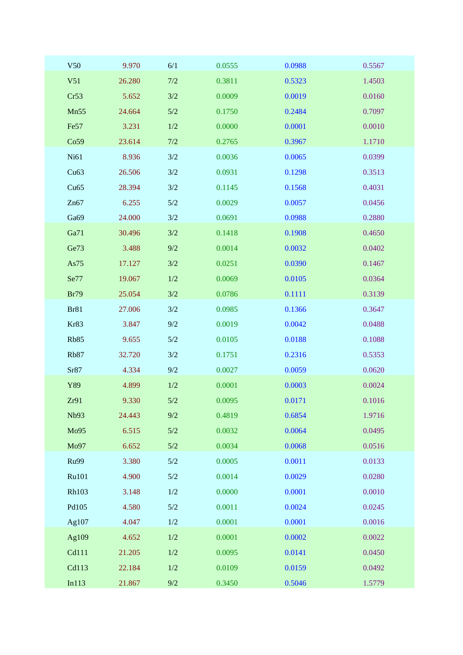| V50          | 9.970  | 6/1     | 0.0555 | 0.0988 | 0.5567 |
|--------------|--------|---------|--------|--------|--------|
| V51          | 26.280 | 7/2     | 0.3811 | 0.5323 | 1.4503 |
| Cr53         | 5.652  | 3/2     | 0.0009 | 0.0019 | 0.0160 |
| Mn55         | 24.664 | $5/2$   | 0.1750 | 0.2484 | 0.7097 |
| Fe57         | 3.231  | $1/2$   | 0.0000 | 0.0001 | 0.0010 |
| Co59         | 23.614 | 7/2     | 0.2765 | 0.3967 | 1.1710 |
| Ni61         | 8.936  | 3/2     | 0.0036 | 0.0065 | 0.0399 |
| Cu63         | 26.506 | 3/2     | 0.0931 | 0.1298 | 0.3513 |
| Cu65         | 28.394 | 3/2     | 0.1145 | 0.1568 | 0.4031 |
| Zn67         | 6.255  | $5/2$   | 0.0029 | 0.0057 | 0.0456 |
| Ga69         | 24.000 | 3/2     | 0.0691 | 0.0988 | 0.2880 |
| Ga71         | 30.496 | 3/2     | 0.1418 | 0.1908 | 0.4650 |
| Ge73         | 3.488  | 9/2     | 0.0014 | 0.0032 | 0.0402 |
| As75         | 17.127 | 3/2     | 0.0251 | 0.0390 | 0.1467 |
| Se77         | 19.067 | 1/2     | 0.0069 | 0.0105 | 0.0364 |
| <b>Br79</b>  | 25.054 | 3/2     | 0.0786 | 0.1111 | 0.3139 |
| <b>Br81</b>  | 27.006 | 3/2     | 0.0985 | 0.1366 | 0.3647 |
| Kr83         | 3.847  | 9/2     | 0.0019 | 0.0042 | 0.0488 |
| <b>Rb85</b>  | 9.655  | $5/2$   | 0.0105 | 0.0188 | 0.1088 |
| <b>Rb87</b>  | 32.720 | 3/2     | 0.1751 | 0.2316 | 0.5353 |
| Sr87         | 4.334  | 9/2     | 0.0027 | 0.0059 | 0.0620 |
| Y89          | 4.899  | 1/2     | 0.0001 | 0.0003 | 0.0024 |
| Zr91         | 9.330  | 5/2     | 0.0095 | 0.0171 | 0.1016 |
| <b>Nb93</b>  | 24.443 | 9/2     | 0.4819 | 0.6854 | 1.9716 |
| Mo95         | 6.515  | $5/2$   | 0.0032 | 0.0064 | 0.0495 |
| Mo97         | 6.652  | $5/2$   | 0.0034 | 0.0068 | 0.0516 |
| <b>Ru99</b>  | 3.380  | $5/2$   | 0.0005 | 0.0011 | 0.0133 |
| Ru101        | 4.900  | $5/2$   | 0.0014 | 0.0029 | 0.0280 |
| <b>Rh103</b> | 3.148  | $1/2\,$ | 0.0000 | 0.0001 | 0.0010 |
| Pd105        | 4.580  | $5/2$   | 0.0011 | 0.0024 | 0.0245 |
| Ag107        | 4.047  | $1/2$   | 0.0001 | 0.0001 | 0.0016 |
| Ag109        | 4.652  | $1/2\,$ | 0.0001 | 0.0002 | 0.0022 |
| Cd111        | 21.205 | $1/2\,$ | 0.0095 | 0.0141 | 0.0450 |
| Cd113        | 22.184 | $1/2\,$ | 0.0109 | 0.0159 | 0.0492 |
| In113        | 21.867 | $9/2$   | 0.3450 | 0.5046 | 1.5779 |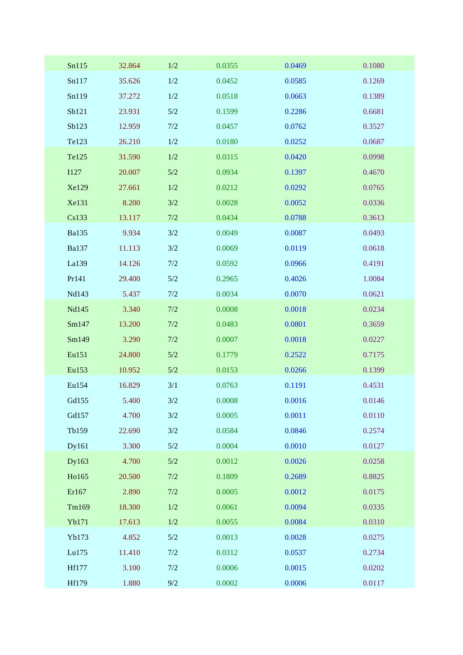| Sn115        | 32.864 | $1/2$   | 0.0355 | 0.0469 | 0.1080 |
|--------------|--------|---------|--------|--------|--------|
| Sn117        | 35.626 | 1/2     | 0.0452 | 0.0585 | 0.1269 |
| Sn119        | 37.272 | $1/2$   | 0.0518 | 0.0663 | 0.1389 |
| Sb121        | 23.931 | $5/2$   | 0.1599 | 0.2286 | 0.6681 |
| Sb123        | 12.959 | 7/2     | 0.0457 | 0.0762 | 0.3527 |
| Te123        | 26.210 | $1/2$   | 0.0180 | 0.0252 | 0.0687 |
| Te125        | 31.590 | $1/2$   | 0.0315 | 0.0420 | 0.0998 |
| <b>I127</b>  | 20.007 | $5/2$   | 0.0934 | 0.1397 | 0.4670 |
| Xe129        | 27.661 | $1/2$   | 0.0212 | 0.0292 | 0.0765 |
| Xe131        | 8.200  | 3/2     | 0.0028 | 0.0052 | 0.0336 |
| Cs133        | 13.117 | 7/2     | 0.0434 | 0.0788 | 0.3613 |
| <b>Ba135</b> | 9.934  | 3/2     | 0.0049 | 0.0087 | 0.0493 |
| <b>Ba137</b> | 11.113 | 3/2     | 0.0069 | 0.0119 | 0.0618 |
| La139        | 14.126 | 7/2     | 0.0592 | 0.0966 | 0.4191 |
| Pr141        | 29.400 | $5/2$   | 0.2965 | 0.4026 | 1.0084 |
| Nd143        | 5.437  | 7/2     | 0.0034 | 0.0070 | 0.0621 |
| Nd145        | 3.340  | 7/2     | 0.0008 | 0.0018 | 0.0234 |
| Sm147        | 13.200 | 7/2     | 0.0483 | 0.0801 | 0.3659 |
| Sm149        | 3.290  | 7/2     | 0.0007 | 0.0018 | 0.0227 |
| Eu151        | 24.800 | $5/2$   | 0.1779 | 0.2522 | 0.7175 |
| Eu153        | 10.952 | 5/2     | 0.0153 | 0.0266 | 0.1399 |
| Eu154        | 16.829 | 3/1     | 0.0763 | 0.1191 | 0.4531 |
| Gd155        | 5.400  | 3/2     | 0.0008 | 0.0016 | 0.0146 |
| Gd157        | 4.700  | 3/2     | 0.0005 | 0.0011 | 0.0110 |
| Tb159        | 22.690 | 3/2     | 0.0584 | 0.0846 | 0.2574 |
| Dy161        | 3.300  | $5/2$   | 0.0004 | 0.0010 | 0.0127 |
| Dy163        | 4.700  | $5/2$   | 0.0012 | 0.0026 | 0.0258 |
| Ho165        | 20.500 | 7/2     | 0.1809 | 0.2689 | 0.8825 |
| Er167        | 2.890  | 7/2     | 0.0005 | 0.0012 | 0.0175 |
| Tm169        | 18.300 | $1/2\,$ | 0.0061 | 0.0094 | 0.0335 |
| Yb171        | 17.613 | $1/2\,$ | 0.0055 | 0.0084 | 0.0310 |
| Yb173        | 4.852  | $5/2$   | 0.0013 | 0.0028 | 0.0275 |
| Lu175        | 11.410 | 7/2     | 0.0312 | 0.0537 | 0.2734 |
| <b>Hf177</b> | 3.100  | 7/2     | 0.0006 | 0.0015 | 0.0202 |
| Hf179        | 1.880  | $9/2$   | 0.0002 | 0.0006 | 0.0117 |